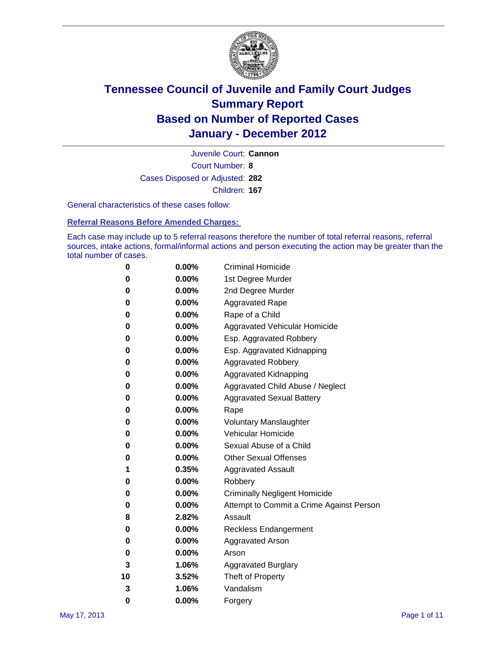

Court Number: **8** Juvenile Court: **Cannon** Cases Disposed or Adjusted: **282** Children: **167**

General characteristics of these cases follow:

**Referral Reasons Before Amended Charges:** 

Each case may include up to 5 referral reasons therefore the number of total referral reasons, referral sources, intake actions, formal/informal actions and person executing the action may be greater than the total number of cases.

| 0  | 0.00%    | <b>Criminal Homicide</b>                 |
|----|----------|------------------------------------------|
| 0  | 0.00%    | 1st Degree Murder                        |
| 0  | 0.00%    | 2nd Degree Murder                        |
| 0  | 0.00%    | <b>Aggravated Rape</b>                   |
| 0  | 0.00%    | Rape of a Child                          |
| 0  | 0.00%    | Aggravated Vehicular Homicide            |
| 0  | 0.00%    | Esp. Aggravated Robbery                  |
| 0  | 0.00%    | Esp. Aggravated Kidnapping               |
| 0  | 0.00%    | <b>Aggravated Robbery</b>                |
| 0  | 0.00%    | Aggravated Kidnapping                    |
| 0  | 0.00%    | Aggravated Child Abuse / Neglect         |
| 0  | 0.00%    | <b>Aggravated Sexual Battery</b>         |
| 0  | 0.00%    | Rape                                     |
| 0  | $0.00\%$ | <b>Voluntary Manslaughter</b>            |
| 0  | 0.00%    | Vehicular Homicide                       |
| 0  | 0.00%    | Sexual Abuse of a Child                  |
| 0  | 0.00%    | <b>Other Sexual Offenses</b>             |
| 1  | 0.35%    | <b>Aggravated Assault</b>                |
| 0  | $0.00\%$ | Robbery                                  |
| 0  | 0.00%    | <b>Criminally Negligent Homicide</b>     |
| 0  | 0.00%    | Attempt to Commit a Crime Against Person |
| 8  | 2.82%    | Assault                                  |
| 0  | 0.00%    | <b>Reckless Endangerment</b>             |
| 0  | 0.00%    | <b>Aggravated Arson</b>                  |
| 0  | 0.00%    | Arson                                    |
| 3  | 1.06%    | <b>Aggravated Burglary</b>               |
| 10 | 3.52%    | Theft of Property                        |
| 3  | 1.06%    | Vandalism                                |
| 0  | 0.00%    | Forgery                                  |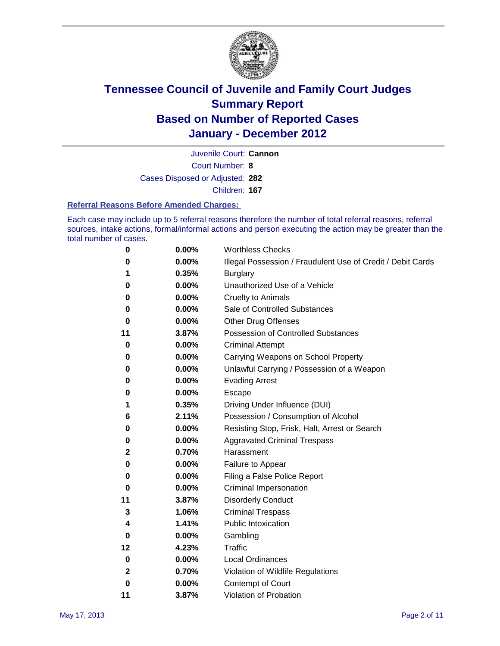

Juvenile Court: **Cannon**

Court Number: **8**

Cases Disposed or Adjusted: **282**

Children: **167**

#### **Referral Reasons Before Amended Charges:**

Each case may include up to 5 referral reasons therefore the number of total referral reasons, referral sources, intake actions, formal/informal actions and person executing the action may be greater than the total number of cases.

| 0            | 0.00% | <b>Worthless Checks</b>                                     |
|--------------|-------|-------------------------------------------------------------|
| 0            | 0.00% | Illegal Possession / Fraudulent Use of Credit / Debit Cards |
| 1            | 0.35% | <b>Burglary</b>                                             |
| 0            | 0.00% | Unauthorized Use of a Vehicle                               |
| 0            | 0.00% | <b>Cruelty to Animals</b>                                   |
| 0            | 0.00% | Sale of Controlled Substances                               |
| 0            | 0.00% | <b>Other Drug Offenses</b>                                  |
| 11           | 3.87% | Possession of Controlled Substances                         |
| 0            | 0.00% | <b>Criminal Attempt</b>                                     |
| 0            | 0.00% | Carrying Weapons on School Property                         |
| 0            | 0.00% | Unlawful Carrying / Possession of a Weapon                  |
| 0            | 0.00% | <b>Evading Arrest</b>                                       |
| 0            | 0.00% | Escape                                                      |
| 1            | 0.35% | Driving Under Influence (DUI)                               |
| 6            | 2.11% | Possession / Consumption of Alcohol                         |
| 0            | 0.00% | Resisting Stop, Frisk, Halt, Arrest or Search               |
| 0            | 0.00% | <b>Aggravated Criminal Trespass</b>                         |
| 2            | 0.70% | Harassment                                                  |
| 0            | 0.00% | Failure to Appear                                           |
| 0            | 0.00% | Filing a False Police Report                                |
| 0            | 0.00% | Criminal Impersonation                                      |
| 11           | 3.87% | <b>Disorderly Conduct</b>                                   |
| 3            | 1.06% | <b>Criminal Trespass</b>                                    |
| 4            | 1.41% | <b>Public Intoxication</b>                                  |
| 0            | 0.00% | Gambling                                                    |
| 12           | 4.23% | Traffic                                                     |
| 0            | 0.00% | <b>Local Ordinances</b>                                     |
| $\mathbf{2}$ | 0.70% | Violation of Wildlife Regulations                           |
| 0            | 0.00% | Contempt of Court                                           |
| 11           | 3.87% | Violation of Probation                                      |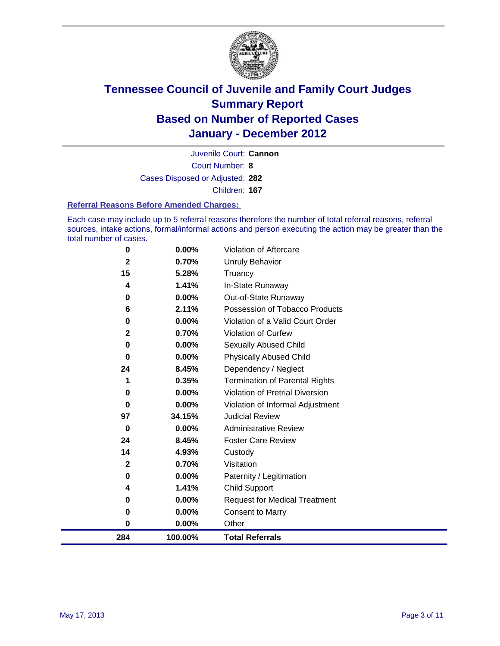

Court Number: **8** Juvenile Court: **Cannon** Cases Disposed or Adjusted: **282** Children: **167**

#### **Referral Reasons Before Amended Charges:**

Each case may include up to 5 referral reasons therefore the number of total referral reasons, referral sources, intake actions, formal/informal actions and person executing the action may be greater than the total number of cases.

| $\mathbf{2}$<br>0 | 0.70%<br>0.00% | Visitation<br>Paternity / Legitimation                  |
|-------------------|----------------|---------------------------------------------------------|
| 14                | 4.93%          | Custody                                                 |
| 24                | 8.45%          | <b>Foster Care Review</b>                               |
| 0                 | 0.00%          | <b>Administrative Review</b>                            |
| 97                | 34.15%         | <b>Judicial Review</b>                                  |
| 0                 | 0.00%          | Violation of Informal Adjustment                        |
| 0                 | 0.00%          | <b>Violation of Pretrial Diversion</b>                  |
| 1                 | 0.35%          | <b>Termination of Parental Rights</b>                   |
| 24                | 8.45%          | Dependency / Neglect                                    |
| $\bf{0}$          | 0.00%          | Sexually Abused Child<br><b>Physically Abused Child</b> |
| $\mathbf{2}$<br>0 | 0.70%<br>0.00% | Violation of Curfew                                     |
| 0                 | 0.00%          | Violation of a Valid Court Order                        |
| 6                 | 2.11%          | Possession of Tobacco Products                          |
| 0                 | 0.00%          | Out-of-State Runaway                                    |
| 4                 | 1.41%          | In-State Runaway                                        |
| 15                | 5.28%          | Truancy                                                 |
| $\mathbf{2}$      | 0.70%          | Unruly Behavior                                         |
| 0                 | 0.00%          | Violation of Aftercare                                  |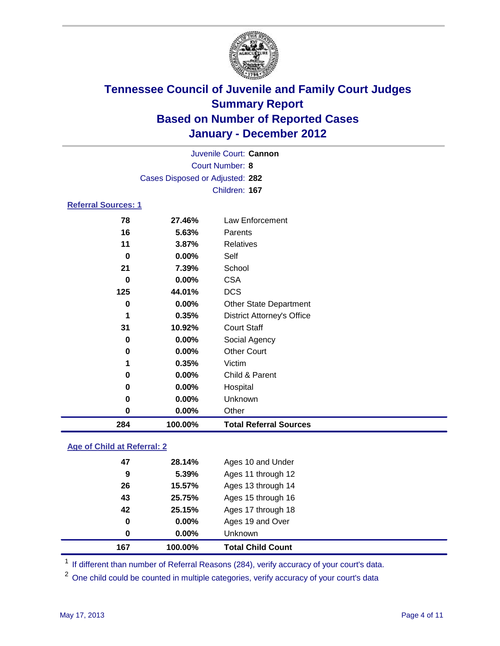

| Juvenile Court: Cannon     |                                 |                                   |  |  |
|----------------------------|---------------------------------|-----------------------------------|--|--|
|                            | <b>Court Number: 8</b>          |                                   |  |  |
|                            | Cases Disposed or Adjusted: 282 |                                   |  |  |
|                            |                                 | Children: 167                     |  |  |
| <b>Referral Sources: 1</b> |                                 |                                   |  |  |
| 78                         | 27.46%                          | Law Enforcement                   |  |  |
| 16                         | 5.63%                           | Parents                           |  |  |
| 11                         | 3.87%                           | <b>Relatives</b>                  |  |  |
| $\bf{0}$                   | 0.00%                           | Self                              |  |  |
| 21                         | 7.39%                           | School                            |  |  |
| $\bf{0}$                   | 0.00%                           | <b>CSA</b>                        |  |  |
| 125                        | 44.01%                          | <b>DCS</b>                        |  |  |
| 0                          | 0.00%                           | <b>Other State Department</b>     |  |  |
| 1                          | 0.35%                           | <b>District Attorney's Office</b> |  |  |
| 31                         | 10.92%                          | <b>Court Staff</b>                |  |  |
| 0                          | 0.00%                           | Social Agency                     |  |  |
| 0                          | 0.00%                           | <b>Other Court</b>                |  |  |
| 1                          | 0.35%                           | Victim                            |  |  |
| 0                          | 0.00%                           | Child & Parent                    |  |  |
| 0                          | 0.00%                           | Hospital                          |  |  |
| 0                          | 0.00%                           | Unknown                           |  |  |
| 0                          | $0.00\%$                        | Other                             |  |  |
| 284                        | 100.00%                         | <b>Total Referral Sources</b>     |  |  |

### **Age of Child at Referral: 2**

| 167 | 100.00% | <b>Total Child Count</b> |
|-----|---------|--------------------------|
| 0   | 0.00%   | Unknown                  |
| 0   | 0.00%   | Ages 19 and Over         |
| 42  | 25.15%  | Ages 17 through 18       |
| 43  | 25.75%  | Ages 15 through 16       |
| 26  | 15.57%  | Ages 13 through 14       |
| 9   | 5.39%   | Ages 11 through 12       |
| 47  | 28.14%  | Ages 10 and Under        |
|     |         |                          |

<sup>1</sup> If different than number of Referral Reasons (284), verify accuracy of your court's data.

<sup>2</sup> One child could be counted in multiple categories, verify accuracy of your court's data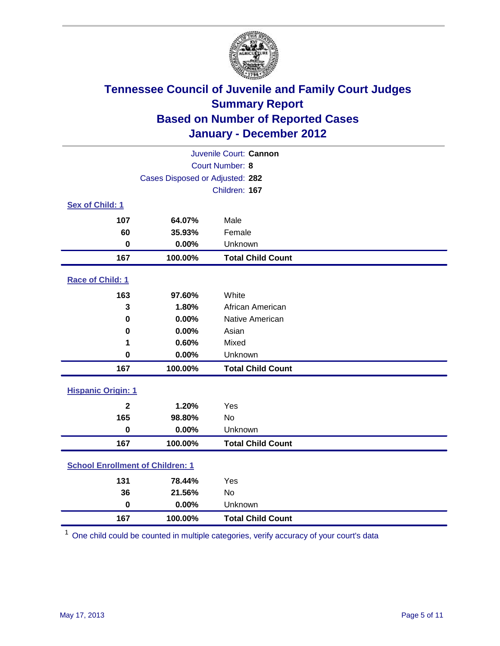

| Juvenile Court: Cannon                  |                                 |                          |  |  |
|-----------------------------------------|---------------------------------|--------------------------|--|--|
| Court Number: 8                         |                                 |                          |  |  |
|                                         | Cases Disposed or Adjusted: 282 |                          |  |  |
|                                         |                                 | Children: 167            |  |  |
| Sex of Child: 1                         |                                 |                          |  |  |
| 107                                     | 64.07%                          | Male                     |  |  |
| 60                                      | 35.93%                          | Female                   |  |  |
| $\mathbf 0$                             | 0.00%                           | Unknown                  |  |  |
| 167                                     | 100.00%                         | <b>Total Child Count</b> |  |  |
| Race of Child: 1                        |                                 |                          |  |  |
| 163                                     | 97.60%                          | White                    |  |  |
| 3                                       | 1.80%                           | African American         |  |  |
| 0                                       | 0.00%                           | Native American          |  |  |
| $\mathbf 0$                             | 0.00%                           | Asian                    |  |  |
| 1                                       | 0.60%                           | Mixed                    |  |  |
| 0                                       | 0.00%                           | Unknown                  |  |  |
| 167                                     | 100.00%                         | <b>Total Child Count</b> |  |  |
| <b>Hispanic Origin: 1</b>               |                                 |                          |  |  |
| $\mathbf{2}$                            | 1.20%                           | Yes                      |  |  |
| 165                                     | 98.80%                          | No                       |  |  |
| $\mathbf 0$                             | 0.00%                           | Unknown                  |  |  |
| 167                                     | 100.00%                         | <b>Total Child Count</b> |  |  |
| <b>School Enrollment of Children: 1</b> |                                 |                          |  |  |
| 131                                     | 78.44%                          | Yes                      |  |  |
| 36                                      | 21.56%                          | No                       |  |  |
| $\mathbf 0$                             | 0.00%                           | Unknown                  |  |  |
| 167                                     | 100.00%                         | <b>Total Child Count</b> |  |  |

One child could be counted in multiple categories, verify accuracy of your court's data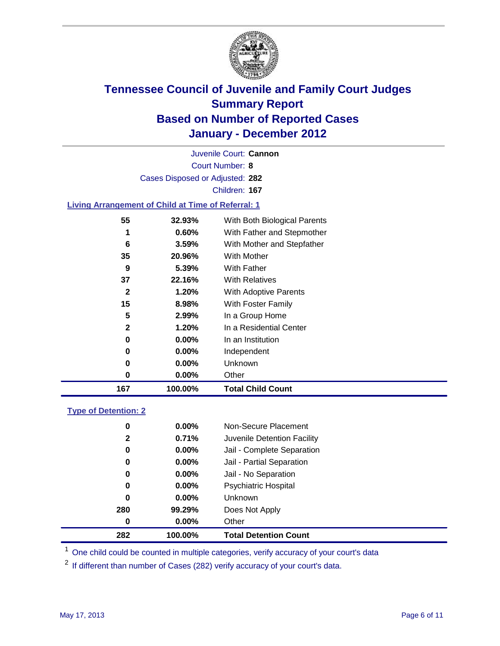

Court Number: **8** Juvenile Court: **Cannon** Cases Disposed or Adjusted: **282** Children: **167**

### **Living Arrangement of Child at Time of Referral: 1**

| 167          | 100.00%  | <b>Total Child Count</b>     |
|--------------|----------|------------------------------|
| 0            | 0.00%    | Other                        |
| 0            | $0.00\%$ | Unknown                      |
| 0            | $0.00\%$ | Independent                  |
| 0            | $0.00\%$ | In an Institution            |
| $\mathbf{2}$ | 1.20%    | In a Residential Center      |
| 5            | 2.99%    | In a Group Home              |
| 15           | 8.98%    | With Foster Family           |
| $\mathbf{2}$ | 1.20%    | With Adoptive Parents        |
| 37           | 22.16%   | <b>With Relatives</b>        |
| 9            | 5.39%    | With Father                  |
| 35           | 20.96%   | With Mother                  |
| 6            | 3.59%    | With Mother and Stepfather   |
| 1            | 0.60%    | With Father and Stepmother   |
| 55           | 32.93%   | With Both Biological Parents |
|              |          |                              |

### **Type of Detention: 2**

| 282          | 100.00%  | <b>Total Detention Count</b> |
|--------------|----------|------------------------------|
| $\bf{0}$     | $0.00\%$ | Other                        |
| 280          | 99.29%   | Does Not Apply               |
| 0            | $0.00\%$ | <b>Unknown</b>               |
| 0            | $0.00\%$ | <b>Psychiatric Hospital</b>  |
| 0            | 0.00%    | Jail - No Separation         |
| 0            | $0.00\%$ | Jail - Partial Separation    |
| 0            | $0.00\%$ | Jail - Complete Separation   |
| $\mathbf{2}$ | 0.71%    | Juvenile Detention Facility  |
| 0            | $0.00\%$ | Non-Secure Placement         |
|              |          |                              |

<sup>1</sup> One child could be counted in multiple categories, verify accuracy of your court's data

<sup>2</sup> If different than number of Cases (282) verify accuracy of your court's data.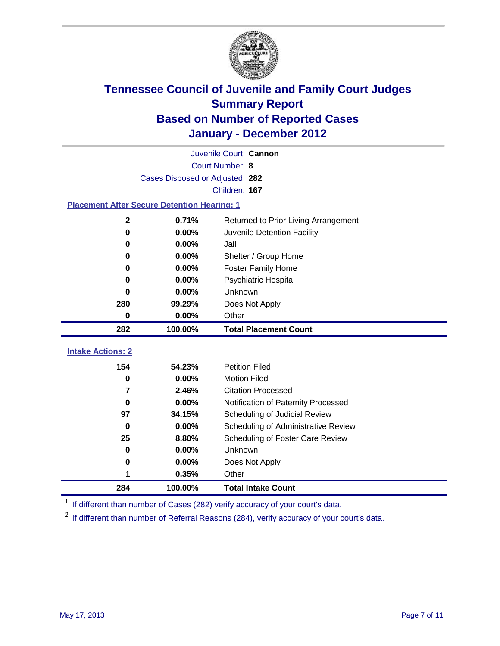

| Juvenile Court: Cannon                                       |                                 |                                     |  |  |  |
|--------------------------------------------------------------|---------------------------------|-------------------------------------|--|--|--|
|                                                              | Court Number: 8                 |                                     |  |  |  |
|                                                              | Cases Disposed or Adjusted: 282 |                                     |  |  |  |
|                                                              |                                 | Children: 167                       |  |  |  |
| <b>Placement After Secure Detention Hearing: 1</b>           |                                 |                                     |  |  |  |
| 0.71%<br>$\mathbf 2$<br>Returned to Prior Living Arrangement |                                 |                                     |  |  |  |
| $\bf{0}$                                                     | 0.00%                           | Juvenile Detention Facility         |  |  |  |
| 0                                                            | 0.00%                           | Jail                                |  |  |  |
| $\bf{0}$                                                     | 0.00%                           | Shelter / Group Home                |  |  |  |
| 0                                                            | 0.00%                           | <b>Foster Family Home</b>           |  |  |  |
| 0                                                            | 0.00%                           | Psychiatric Hospital                |  |  |  |
| U                                                            | 0.00%                           | Unknown                             |  |  |  |
| 280                                                          | 99.29%                          | Does Not Apply                      |  |  |  |
| $\mathbf 0$                                                  | 0.00%                           | Other                               |  |  |  |
| 282                                                          | 100.00%                         | <b>Total Placement Count</b>        |  |  |  |
| <b>Intake Actions: 2</b>                                     |                                 |                                     |  |  |  |
|                                                              |                                 |                                     |  |  |  |
| 154                                                          | 54.23%                          | <b>Petition Filed</b>               |  |  |  |
| $\bf{0}$                                                     | 0.00%                           | <b>Motion Filed</b>                 |  |  |  |
| $\overline{7}$                                               | 2.46%                           | <b>Citation Processed</b>           |  |  |  |
| $\bf{0}$                                                     | 0.00%                           | Notification of Paternity Processed |  |  |  |
| 97                                                           | 34.15%                          | Scheduling of Judicial Review       |  |  |  |
| $\bf{0}$                                                     | 0.00%                           | Scheduling of Administrative Review |  |  |  |
| 25                                                           | 8.80%                           | Scheduling of Foster Care Review    |  |  |  |
| $\bf{0}$                                                     | 0.00%                           | Unknown                             |  |  |  |
| 0                                                            | 0.00%                           | Does Not Apply                      |  |  |  |
| 1                                                            | 0.35%                           | Other                               |  |  |  |
| 284                                                          | 100.00%                         | <b>Total Intake Count</b>           |  |  |  |

<sup>1</sup> If different than number of Cases (282) verify accuracy of your court's data.

<sup>2</sup> If different than number of Referral Reasons (284), verify accuracy of your court's data.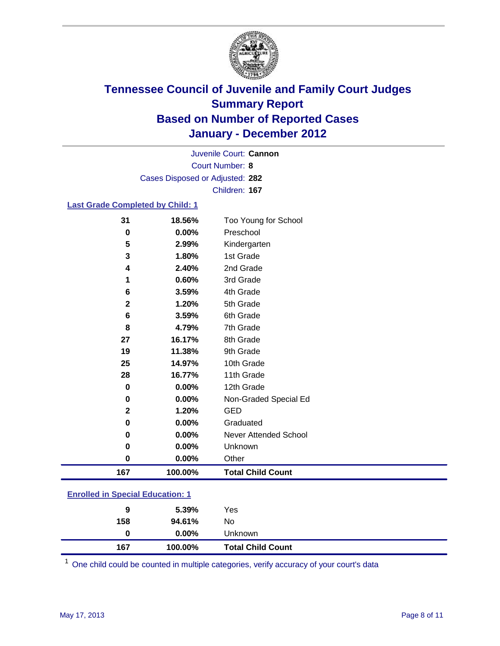

Court Number: **8** Juvenile Court: **Cannon** Cases Disposed or Adjusted: **282** Children: **167**

### **Last Grade Completed by Child: 1**

| 31                                      | 18.56%  | Too Young for School         |  |
|-----------------------------------------|---------|------------------------------|--|
| 0                                       | 0.00%   | Preschool                    |  |
| 5                                       | 2.99%   | Kindergarten                 |  |
| 3                                       | 1.80%   | 1st Grade                    |  |
| 4                                       | 2.40%   | 2nd Grade                    |  |
| 1                                       | 0.60%   | 3rd Grade                    |  |
| 6                                       | 3.59%   | 4th Grade                    |  |
| 2                                       | 1.20%   | 5th Grade                    |  |
| 6                                       | 3.59%   | 6th Grade                    |  |
| 8                                       | 4.79%   | 7th Grade                    |  |
| 27                                      | 16.17%  | 8th Grade                    |  |
| 19                                      | 11.38%  | 9th Grade                    |  |
| 25                                      | 14.97%  | 10th Grade                   |  |
| 28                                      | 16.77%  | 11th Grade                   |  |
| 0                                       | 0.00%   | 12th Grade                   |  |
| 0                                       | 0.00%   | Non-Graded Special Ed        |  |
| $\mathbf{2}$                            | 1.20%   | <b>GED</b>                   |  |
| 0                                       | 0.00%   | Graduated                    |  |
| 0                                       | 0.00%   | <b>Never Attended School</b> |  |
| 0                                       | 0.00%   | Unknown                      |  |
| 0                                       | 0.00%   | Other                        |  |
| 167                                     | 100.00% | <b>Total Child Count</b>     |  |
| <b>Enrolled in Special Education: 1</b> |         |                              |  |

| 167                                       | 100.00%  | <b>Total Child Count</b> |  |  |
|-------------------------------------------|----------|--------------------------|--|--|
| 0                                         | $0.00\%$ | Unknown                  |  |  |
| 158                                       | 94.61%   | No                       |  |  |
| 9                                         | 5.39%    | Yes                      |  |  |
| <u>Elliolleu III Special Eugeation. T</u> |          |                          |  |  |

One child could be counted in multiple categories, verify accuracy of your court's data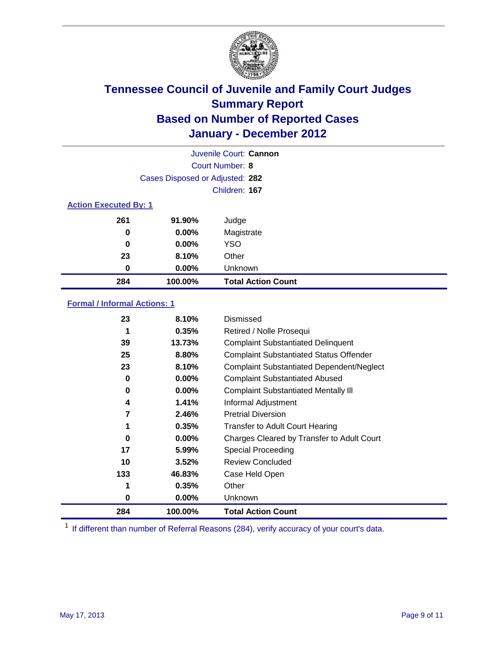

| Juvenile Court: Cannon       |                                 |                           |  |  |
|------------------------------|---------------------------------|---------------------------|--|--|
|                              | Court Number: 8                 |                           |  |  |
|                              | Cases Disposed or Adjusted: 282 |                           |  |  |
|                              |                                 | Children: 167             |  |  |
| <b>Action Executed By: 1</b> |                                 |                           |  |  |
| 261                          | 91.90%                          | Judge                     |  |  |
| 0                            | $0.00\%$                        | Magistrate                |  |  |
| 0                            | $0.00\%$                        | <b>YSO</b>                |  |  |
| 23                           | 8.10%                           | Other                     |  |  |
| 0                            | 0.00%                           | Unknown                   |  |  |
| 284                          | 100.00%                         | <b>Total Action Count</b> |  |  |

### **Formal / Informal Actions: 1**

| 23  | 8.10%    | Dismissed                                        |
|-----|----------|--------------------------------------------------|
| 1   | 0.35%    | Retired / Nolle Prosequi                         |
| 39  | 13.73%   | <b>Complaint Substantiated Delinquent</b>        |
| 25  | 8.80%    | <b>Complaint Substantiated Status Offender</b>   |
| 23  | 8.10%    | <b>Complaint Substantiated Dependent/Neglect</b> |
| 0   | 0.00%    | <b>Complaint Substantiated Abused</b>            |
| 0   | $0.00\%$ | <b>Complaint Substantiated Mentally III</b>      |
| 4   | 1.41%    | Informal Adjustment                              |
| 7   | 2.46%    | <b>Pretrial Diversion</b>                        |
| 1   | 0.35%    | <b>Transfer to Adult Court Hearing</b>           |
| 0   | 0.00%    | Charges Cleared by Transfer to Adult Court       |
| 17  | 5.99%    | Special Proceeding                               |
| 10  | 3.52%    | <b>Review Concluded</b>                          |
| 133 | 46.83%   | Case Held Open                                   |
|     | 0.35%    | Other                                            |
| 0   | $0.00\%$ | <b>Unknown</b>                                   |
| 284 | 100.00%  | <b>Total Action Count</b>                        |

<sup>1</sup> If different than number of Referral Reasons (284), verify accuracy of your court's data.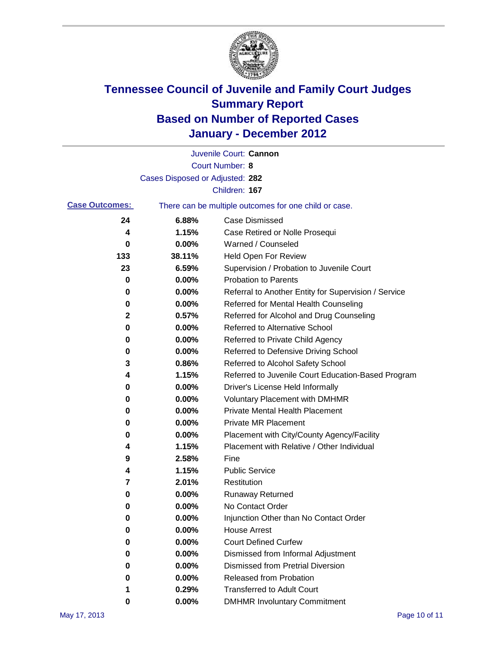

|                       |                                 | Juvenile Court: Cannon                                |
|-----------------------|---------------------------------|-------------------------------------------------------|
|                       |                                 | <b>Court Number: 8</b>                                |
|                       | Cases Disposed or Adjusted: 282 |                                                       |
|                       |                                 | Children: 167                                         |
| <b>Case Outcomes:</b> |                                 | There can be multiple outcomes for one child or case. |
| 24                    | 6.88%                           | <b>Case Dismissed</b>                                 |
| 4                     | 1.15%                           | Case Retired or Nolle Prosequi                        |
| 0                     | 0.00%                           | Warned / Counseled                                    |
| 133                   | 38.11%                          | Held Open For Review                                  |
| 23                    | 6.59%                           | Supervision / Probation to Juvenile Court             |
| 0                     | 0.00%                           | <b>Probation to Parents</b>                           |
| 0                     | 0.00%                           | Referral to Another Entity for Supervision / Service  |
| 0                     | 0.00%                           | Referred for Mental Health Counseling                 |
| 2                     | 0.57%                           | Referred for Alcohol and Drug Counseling              |
| 0                     | 0.00%                           | <b>Referred to Alternative School</b>                 |
| 0                     | 0.00%                           | Referred to Private Child Agency                      |
| 0                     | 0.00%                           | Referred to Defensive Driving School                  |
| 3                     | 0.86%                           | Referred to Alcohol Safety School                     |
| 4                     | 1.15%                           | Referred to Juvenile Court Education-Based Program    |
| 0                     | 0.00%                           | Driver's License Held Informally                      |
| 0                     | 0.00%                           | <b>Voluntary Placement with DMHMR</b>                 |
| 0                     | 0.00%                           | <b>Private Mental Health Placement</b>                |
| 0                     | 0.00%                           | <b>Private MR Placement</b>                           |
| 0                     | 0.00%                           | Placement with City/County Agency/Facility            |
| 4                     | 1.15%                           | Placement with Relative / Other Individual            |
| 9                     | 2.58%                           | Fine                                                  |
| 4                     | 1.15%                           | <b>Public Service</b>                                 |
| 7                     | 2.01%                           | Restitution                                           |
| 0                     | 0.00%                           | <b>Runaway Returned</b>                               |
| 0                     | 0.00%                           | No Contact Order                                      |
| 0                     | 0.00%                           | Injunction Other than No Contact Order                |
| 0                     | 0.00%                           | <b>House Arrest</b>                                   |
| 0                     | $0.00\%$                        | <b>Court Defined Curfew</b>                           |
| 0                     | 0.00%                           | Dismissed from Informal Adjustment                    |
| 0                     | $0.00\%$                        | <b>Dismissed from Pretrial Diversion</b>              |
| 0                     | 0.00%                           | Released from Probation                               |
| 1                     | 0.29%                           | <b>Transferred to Adult Court</b>                     |
| 0                     | $0.00\%$                        | <b>DMHMR Involuntary Commitment</b>                   |